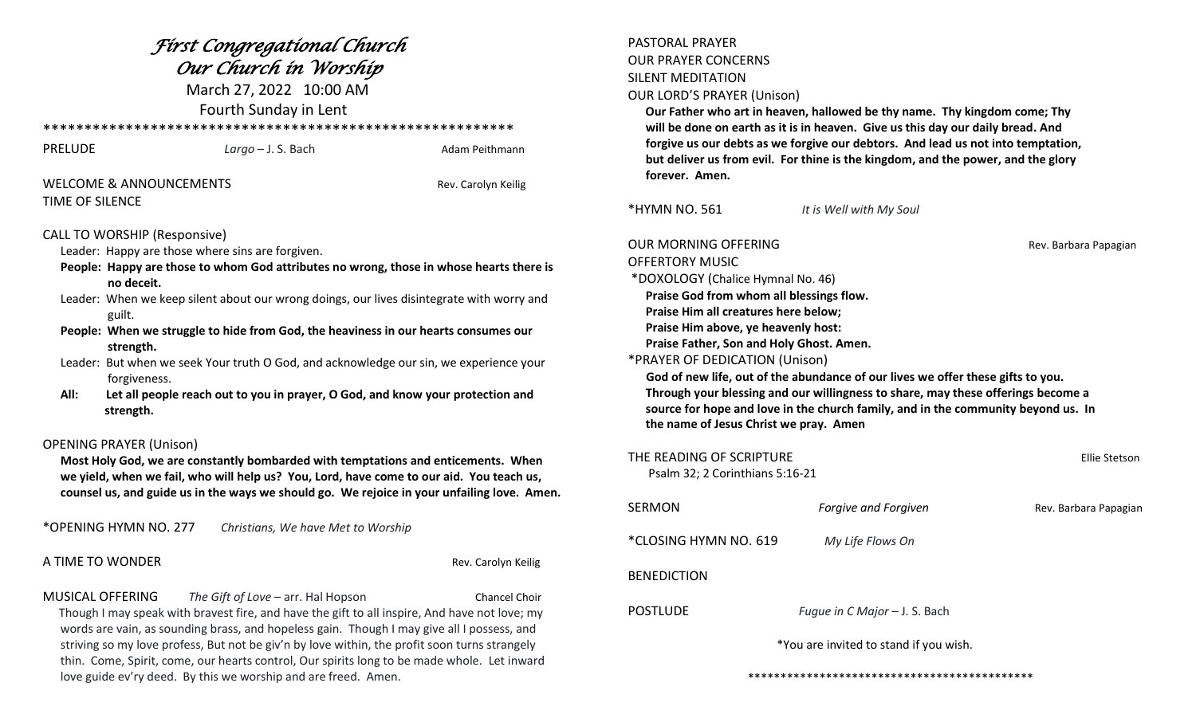| Fírst Congregatíonal Church<br>Our Church in Worship<br>March 27, 2022 10:00 AM<br>Fourth Sunday in Lent                                                                                                                                                                                                                                                                                                                                                                                                                                                                                                                     |                                                                                                                                                                                                                                   |                     | <b>PASTORAL PRAYER</b><br><b>OUR PRAYER CONCERNS</b><br><b>SILENT MEDITATION</b><br><b>OUR LORD'S PRAYER (Unison)</b><br>Our Father who art in heaven, hallowed be thy name. Thy kingdom come; Thy<br>will be done on earth as it is in heaven. Give us this day our daily bread. And                                                         |                                                                                                                                                                                                                                                          |                       |
|------------------------------------------------------------------------------------------------------------------------------------------------------------------------------------------------------------------------------------------------------------------------------------------------------------------------------------------------------------------------------------------------------------------------------------------------------------------------------------------------------------------------------------------------------------------------------------------------------------------------------|-----------------------------------------------------------------------------------------------------------------------------------------------------------------------------------------------------------------------------------|---------------------|-----------------------------------------------------------------------------------------------------------------------------------------------------------------------------------------------------------------------------------------------------------------------------------------------------------------------------------------------|----------------------------------------------------------------------------------------------------------------------------------------------------------------------------------------------------------------------------------------------------------|-----------------------|
| <b>PRELUDE</b>                                                                                                                                                                                                                                                                                                                                                                                                                                                                                                                                                                                                               | $Large - J. S. Bach$                                                                                                                                                                                                              | Adam Peithmann      | forgive us our debts as we forgive our debtors. And lead us not into temptation,<br>but deliver us from evil. For thine is the kingdom, and the power, and the glory                                                                                                                                                                          |                                                                                                                                                                                                                                                          |                       |
| <b>WELCOME &amp; ANNOUNCEMENTS</b><br>Rev. Carolyn Keilig                                                                                                                                                                                                                                                                                                                                                                                                                                                                                                                                                                    |                                                                                                                                                                                                                                   | forever. Amen.      |                                                                                                                                                                                                                                                                                                                                               |                                                                                                                                                                                                                                                          |                       |
| TIME OF SILENCE                                                                                                                                                                                                                                                                                                                                                                                                                                                                                                                                                                                                              |                                                                                                                                                                                                                                   |                     | *HYMN NO. 561                                                                                                                                                                                                                                                                                                                                 | It is Well with My Soul                                                                                                                                                                                                                                  |                       |
| <b>CALL TO WORSHIP (Responsive)</b><br>Leader: Happy are those where sins are forgiven.<br>People: Happy are those to whom God attributes no wrong, those in whose hearts there is<br>no deceit.<br>Leader: When we keep silent about our wrong doings, our lives disintegrate with worry and<br>guilt.<br>People: When we struggle to hide from God, the heaviness in our hearts consumes our<br>strength.<br>Leader: But when we seek Your truth O God, and acknowledge our sin, we experience your<br>forgiveness.<br>Let all people reach out to you in prayer, O God, and know your protection and<br>All:<br>strength. |                                                                                                                                                                                                                                   |                     | <b>OUR MORNING OFFERING</b><br><b>OFFERTORY MUSIC</b><br>*DOXOLOGY (Chalice Hymnal No. 46)<br>Praise God from whom all blessings flow.<br>Praise Him all creatures here below;<br>Praise Him above, ye heavenly host:<br>Praise Father, Son and Holy Ghost. Amen.<br>*PRAYER OF DEDICATION (Unison)<br>the name of Jesus Christ we pray. Amen | God of new life, out of the abundance of our lives we offer these gifts to you.<br>Through your blessing and our willingness to share, may these offerings become a<br>source for hope and love in the church family, and in the community beyond us. In | Rev. Barbara Papagian |
| <b>OPENING PRAYER (Unison)</b><br>Most Holy God, we are constantly bombarded with temptations and enticements. When<br>we yield, when we fail, who will help us? You, Lord, have come to our aid. You teach us,<br>counsel us, and guide us in the ways we should go. We rejoice in your unfailing love. Amen.                                                                                                                                                                                                                                                                                                               |                                                                                                                                                                                                                                   |                     | THE READING OF SCRIPTURE<br>Psalm 32; 2 Corinthians 5:16-21                                                                                                                                                                                                                                                                                   |                                                                                                                                                                                                                                                          | Ellie Stetson         |
|                                                                                                                                                                                                                                                                                                                                                                                                                                                                                                                                                                                                                              |                                                                                                                                                                                                                                   |                     | <b>SERMON</b>                                                                                                                                                                                                                                                                                                                                 | Forgive and Forgiven                                                                                                                                                                                                                                     | Rev. Barbara Papagian |
| *OPENING HYMN NO. 277                                                                                                                                                                                                                                                                                                                                                                                                                                                                                                                                                                                                        | Christians, We have Met to Worship                                                                                                                                                                                                |                     | *CLOSING HYMN NO. 619                                                                                                                                                                                                                                                                                                                         | My Life Flows On                                                                                                                                                                                                                                         |                       |
| A TIME TO WONDER                                                                                                                                                                                                                                                                                                                                                                                                                                                                                                                                                                                                             |                                                                                                                                                                                                                                   | Rev. Carolyn Keilig | <b>BENEDICTION</b>                                                                                                                                                                                                                                                                                                                            |                                                                                                                                                                                                                                                          |                       |
| MUSICAL OFFERING                                                                                                                                                                                                                                                                                                                                                                                                                                                                                                                                                                                                             | The Gift of Love - arr. Hal Hopson<br>Though I may speak with bravest fire, and have the gift to all inspire, And have not love; my<br>words are vain, as sounding brass, and hopeless gain. Though I may give all I possess, and | Chancel Choir       | <b>POSTLUDE</b>                                                                                                                                                                                                                                                                                                                               | Fugue in C Major - J. S. Bach                                                                                                                                                                                                                            |                       |
| striving so my love profess, But not be giv'n by love within, the profit soon turns strangely<br>thin. Come, Spirit, come, our hearts control, Our spirits long to be made whole. Let inward<br>love guide ev'ry deed. By this we worship and are freed. Amen.                                                                                                                                                                                                                                                                                                                                                               |                                                                                                                                                                                                                                   |                     | *You are invited to stand if you wish.                                                                                                                                                                                                                                                                                                        |                                                                                                                                                                                                                                                          |                       |